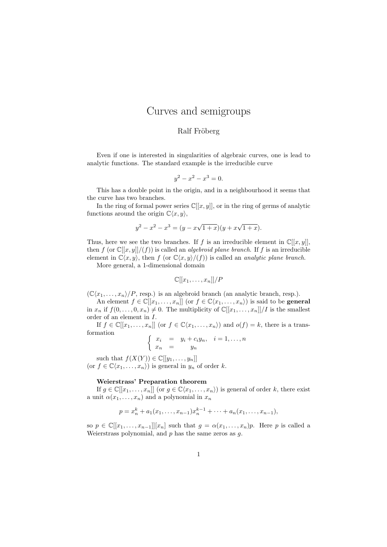# Curves and semigroups

# Ralf Fröberg

Even if one is interested in singularities of algebraic curves, one is lead to analytic functions. The standard example is the irreducible curve

$$
y^2 - x^2 - x^3 = 0.
$$

This has a double point in the origin, and in a neighbourhood it seems that the curve has two branches.

In the ring of formal power series  $\mathbb{C}[[x, y]]$ , or in the ring of germs of analytic functions around the origin  $\mathbb{C}\langle x, y \rangle$ ,

$$
y^{2} - x^{2} - x^{3} = (y - x\sqrt{1 + x})(y + x\sqrt{1 + x}).
$$

Thus, here we see the two branches. If f is an irreducible element in  $\mathbb{C}[[x, y]]$ , then f (or  $\mathbb{C}[[x,y]]/(f)$ ) is called an *algebroid plane branch*. If f is an irreducible element in  $\mathbb{C}\langle x, y\rangle$ , then f (or  $\mathbb{C}\langle x, y\rangle/(f)$ ) is called an *analytic plane branch*.

More general, a 1-dimensional domain

$$
\mathbb{C}[[x_1,\ldots,x_n]]/P
$$

 $(\mathbb{C}\langle x_1,\ldots,x_n\rangle/P,$  resp.) is an algebroid branch (an analytic branch, resp.).

An element  $f \in \mathbb{C}[[x_1,\ldots,x_n]]$  (or  $f \in \mathbb{C}\langle x_1,\ldots,x_n \rangle$ ) is said to be **general** in  $x_n$  if  $f(0, \ldots, 0, x_n) \neq 0$ . The multiplicity of  $\mathbb{C}[[x_1, \ldots, x_n]]/I$  is the smallest order of an element in  $I$ .

If  $f \in \mathbb{C}[[x_1,\ldots,x_n]]$  (or  $f \in \mathbb{C}\langle x_1,\ldots,x_n \rangle$ ) and  $o(f) = k$ , there is a transformation

$$
\begin{cases}\nx_i &= y_i + c_i y_n, \quad i = 1, \dots, n \\
x_n &= y_n\n\end{cases}
$$

such that  $f(X(Y)) \in \mathbb{C}[[y_1, \ldots, y_n]]$ (or  $f \in \mathbb{C}\langle x_1, \ldots, x_n \rangle$ ) is general in  $y_n$  of order k.

## Weierstrass' Preparation theorem

If  $g \in \mathbb{C}[[x_1,\ldots,x_n]]$  (or  $g \in \mathbb{C}\langle x_1,\ldots,x_n \rangle$ ) is general of order k, there exist a unit  $\alpha(x_1, \ldots, x_n)$  and a polynomial in  $x_n$ 

$$
p = x_n^k + a_1(x_1, \ldots, x_{n-1})x_n^{k-1} + \cdots + a_n(x_1, \ldots, x_{n-1}),
$$

so  $p \in \mathbb{C}[[x_1,\ldots,x_{n-1}]][x_n]$  such that  $g = \alpha(x_1,\ldots,x_n)p$ . Here p is called a Weierstrass polynomial, and  $p$  has the same zeros as  $q$ .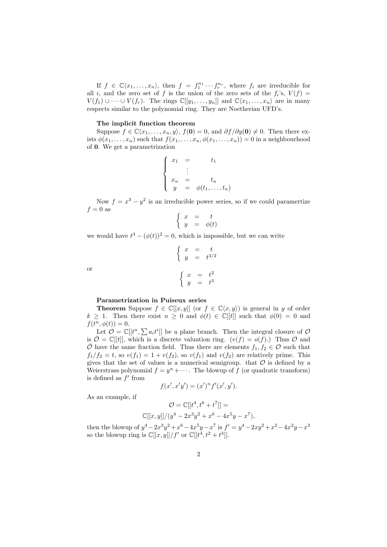If  $f \in \mathbb{C}\langle x_1,\ldots,x_n\rangle$ , then  $f = f_1^{n_1} \cdots f_r^{n_r}$ , where  $f_i$  are irreducible for all i, and the zero set of f is the union of the zero sets of the  $f_i$ 's,  $V(f)$  =  $V(f_1) \cup \cdots \cup V(f_r)$ . The rings  $\mathbb{C}[[y_1,\ldots,y_n]]$  and  $\mathbb{C}\langle x_1,\ldots,x_n\rangle$  are in many respects similar to the polynomial ring. They are Noetherian UFD's.

#### The implicit function theorem

Suppose  $f \in \mathbb{C}\langle x_1, \ldots, x_n, y \rangle$ ,  $f(\mathbf{0}) = 0$ , and  $\partial f / \partial y(\mathbf{0}) \neq 0$ . Then there exists  $\phi(x_1, \ldots, x_n)$  such that  $f(x_1, \ldots, x_n, \phi(x_1, \ldots, x_n)) = 0$  in a neighbourhood of 0. We get a parametrization

$$
\begin{cases}\n x_1 = t_1 \\
 \vdots \\
 x_n = t_n \\
 y = \phi(t_1, \dots, t_n)\n\end{cases}
$$

Now  $f = x^3 - y^2$  is an irreducible power series, so if we could paramertize  $f = 0$  as

$$
\left\{ \begin{array}{rcl} x & = & t \\ y & = & \phi(t) \end{array} \right.
$$

we would have  $t^3 - (\phi(t))^2 = 0$ , which is impossible, but we can write

$$
\begin{cases}\nx = t \\
y = t^{3/2}\n\end{cases}
$$
\n
$$
\begin{cases}\nx = t^2 \\
y = t^3\n\end{cases}
$$

or

#### Parametrization in Puiseux series

**Theorem** Suppose  $f \in \mathbb{C}[[x, y]]$  (or  $f \in \mathbb{C}\langle x, y \rangle$ ) is general in y of order  $k \geq 1$ . Then there exist  $n \geq 0$  and  $\phi(t) \in \mathbb{C}[[t]]$  such that  $\phi(0) = 0$  and  $f(t^n, \phi(t)) = 0.$ 

Let  $\mathcal{O} = \mathbb{C}[[t^n, \sum a_i t^i]]$  be a plane branch. Then the integral closure of  $\mathcal{O}$ is  $\overline{\mathcal{O}} = \mathbb{C}[[t]]$ , which is a discrete valuation ring.  $(v(f) = o(f))$  Thus  $\mathcal{O}$  and  $\overline{O}$  have the same fraction field. Thus there are elements  $f_1, f_2 \in O$  such that  $f_1/f_2 = t$ , so  $v(f_1) = 1 + v(f_2)$ , so  $v(f_1)$  and  $v(f_2)$  are relatively prime. This gives that the set of values is a numerical semigroup. that  $\mathcal O$  is defined by a Weierstrass polynomial  $f = y^n + \cdots$ . The blowup of f (or quadratic transform) is defined as  $f'$  from

$$
f(x', x'y') = (x')^{n} f'(x', y').
$$

As an example, if

$$
\mathcal{O} = \mathbb{C}[[t^4, t^6 + t^7]] =
$$
  

$$
\mathbb{C}[[x, y]]/(y^4 - 2x^3y^2 + x^6 - 4x^5y - x^7),
$$

then the blowup of  $y^4 - 2x^3y^2 + x^6 - 4x^5y - x^7$  is  $f' = y^4 - 2xy^2 + x^2 - 4x^2y - x^3$ so the blowup ring is  $\mathbb{C}[[x,y]]/f'$  or  $\mathbb{C}[[t^4,t^2+t^3]]$ .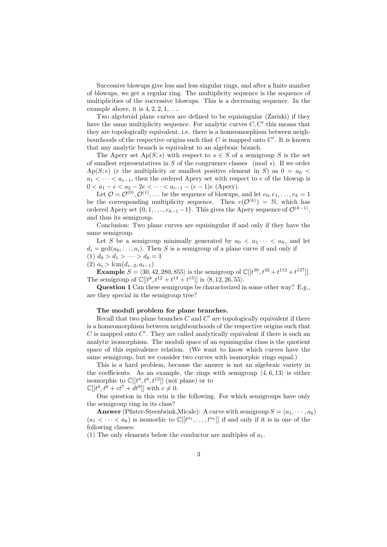Successive blowups give less and less singular rings, and after a finite number of blowups, we get a regular ring. The multiplicity sequence is the sequence of multiplicities of the successive blowups. This is a decreasing sequence. In the example above, it is  $4, 2, 2, 1, \ldots$ 

Two algebroid plane curves are defined to be equisingular (Zariski) if they have the same multiplicity sequence. For analytic curves  $C, C'$  this means that they are topologically equivalent, i.e. there is a homeomorphism between neighbourhoods of the respective origins such that  $C$  is mapped onto  $C'$ . It is known that any analytic branch is equivalent to an algebraic branch.

The Apery set  $Ap(S; s)$  with respect to  $s \in S$  of a semigroup S is the set of smallest representatives in  $S$  of the congruence classes (mod s). If we order  $Ap(S; e)$  (e the multiplicity or smallest positive element in S) as  $0 = a_0$  $a_1 < \cdots < a_{e-1}$ , then the ordered Apery set with respect to e of the blowup is  $0 < a_1 - e < a_2 - 2e < \cdots < a_{e-1} - (e-1)e$  (Apery).

Let  $\mathcal{O} = \mathcal{O}^{(0)}, \mathcal{O}^{(1)}, \ldots$  be the sequence of blowups, and let  $e_0, e_1, \ldots, e_k = 1$ be the corresponding multiplicity sequence. Then  $v(\mathcal{O}^{(k)}) = \mathbb{N}$ , which has ordered Apery set  $\{0, 1, \ldots, e_{k-1} - 1\}$ . This gives the Apery sequence of  $\mathcal{O}^{(k-1)}$ , and thus its semigroup.

Conclusion: Two plane curves are equisingular if and only if they have the same semigroup.

Let S be a semigroup minimally generated by  $a_0 < a_1 \cdots < a_k$ , and let  $d_i = \gcd(a_0, \ldots, a_i)$ . Then S is a semigroup of a plane curve if and only if (1)  $d_0 > d_1 > \cdots > d_k = 1$ 

(2)  $a_i > \text{lcm}(d_{i-2}, a_{i-1})$ 

**Example**  $S = \langle 30, 42, 280, 855 \rangle$  is the semigroup of  $\mathbb{C}[[t^{30}, t^{42} + t^{112} + t^{127}]]$ . The semigroup of  $\mathbb{C}[[t^8, t^{12} + t^{14} + t^{15}]]$  is  $\langle 8, 12, 26, 55 \rangle$ .

Question 1 Can these semigroups be characterized in some other way? E.g., are they special in the semigroup tree?

### The moduli problem for plane branches.

Recall that two plane branches  $C$  and  $C'$  are topologically equivalent if there is a homeomorphism between neighbourhoods of the respective origins such that  $C$  is mapped onto  $C'$ . They are called analytically equivalent if there is such an analytic isomorphism. The moduli space of an equisingular class is the quotient space of this equivalence relation. (We want to know which curves have the same semigroup, but we consider two curves with isomorphic rings equal.)

This is a hard problem, because the answer is not an algebraic variety in the coefficients. As an example, the rings with semigroup  $\langle 4, 6, 13 \rangle$  is either isomorphic to  $\mathbb{C}[[t^4, t^6, t^{13}]]$  (not plane) or to  $\mathbb{C}[[t^4, t^6 + ct^7 + dt^9]]$  with  $c \neq 0$ .

One question in this vein is the following. For which semigroups have only the semigroup ring in its class?

**Answer** (Pfister-Steenbrink, Micale): A curve with semigroup  $S = \langle a_1, \dots, a_k \rangle$  $(a_1 < \cdots < a_k)$  is isomorhic to  $\mathbb{C}[[t^{a_1}, \ldots, t^{a_k}]]$  if and only if it is in one of the following classes:

(1) The only elements below the conductor are multiples of  $a_1$ .